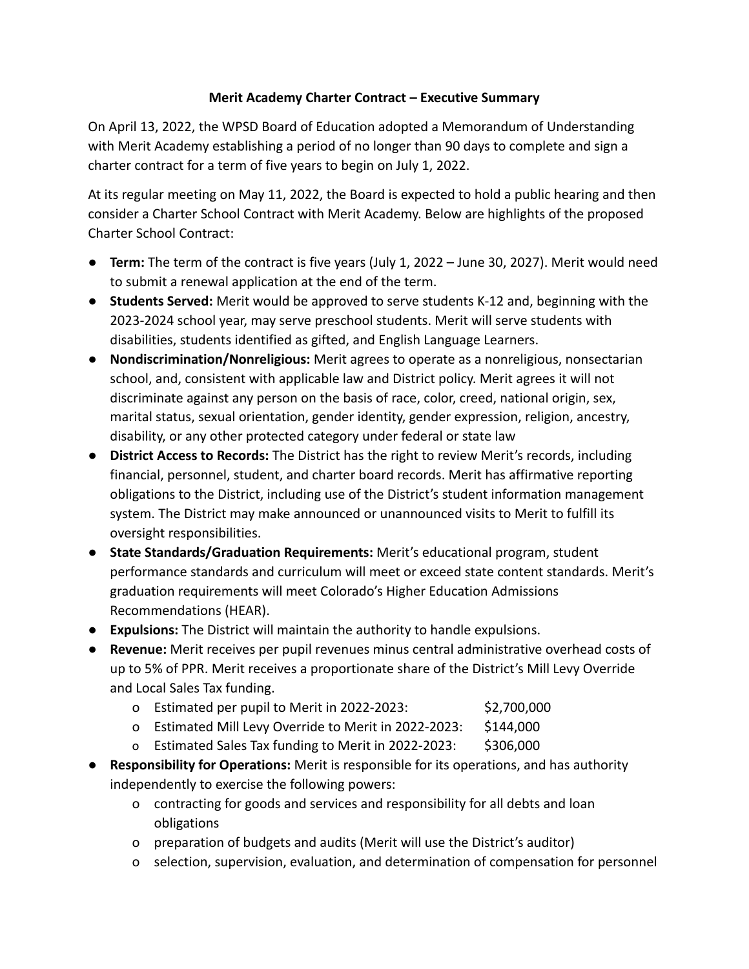## **Merit Academy Charter Contract – Executive Summary**

On April 13, 2022, the WPSD Board of Education adopted a Memorandum of Understanding with Merit Academy establishing a period of no longer than 90 days to complete and sign a charter contract for a term of five years to begin on July 1, 2022.

At its regular meeting on May 11, 2022, the Board is expected to hold a public hearing and then consider a Charter School Contract with Merit Academy. Below are highlights of the proposed Charter School Contract:

- **Term:** The term of the contract is five years (July 1, 2022 June 30, 2027). Merit would need to submit a renewal application at the end of the term.
- **Students Served:** Merit would be approved to serve students K-12 and, beginning with the 2023-2024 school year, may serve preschool students. Merit will serve students with disabilities, students identified as gifted, and English Language Learners.
- **Nondiscrimination/Nonreligious:** Merit agrees to operate as a nonreligious, nonsectarian school, and, consistent with applicable law and District policy. Merit agrees it will not discriminate against any person on the basis of race, color, creed, national origin, sex, marital status, sexual orientation, gender identity, gender expression, religion, ancestry, disability, or any other protected category under federal or state law
- **District Access to Records:** The District has the right to review Merit's records, including financial, personnel, student, and charter board records. Merit has affirmative reporting obligations to the District, including use of the District's student information management system. The District may make announced or unannounced visits to Merit to fulfill its oversight responsibilities.
- **State Standards/Graduation Requirements:** Merit's educational program, student performance standards and curriculum will meet or exceed state content standards. Merit's graduation requirements will meet Colorado's Higher Education Admissions Recommendations (HEAR).
- **Expulsions:** The District will maintain the authority to handle expulsions.
- **Revenue:** Merit receives per pupil revenues minus central administrative overhead costs of up to 5% of PPR. Merit receives a proportionate share of the District's Mill Levy Override and Local Sales Tax funding.
	- o Estimated per pupil to Merit in 2022-2023: \$2,700,000
	- o Estimated Mill Levy Override to Merit in 2022-2023: \$144,000
	- o Estimated Sales Tax funding to Merit in 2022-2023: \$306,000
- **Responsibility for Operations:** Merit is responsible for its operations, and has authority independently to exercise the following powers:
	- o contracting for goods and services and responsibility for all debts and loan obligations
	- o preparation of budgets and audits (Merit will use the District's auditor)
	- o selection, supervision, evaluation, and determination of compensation for personnel